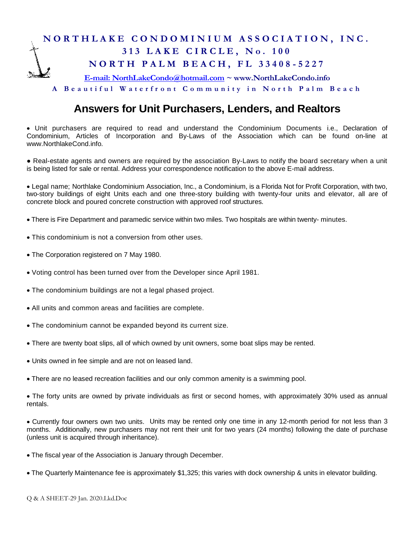## **N O R T H L A K E C O N D O M I N I U M A S S O C I A T I O N , I N C . 3 1 3 L A K E C I R C L E , N o . 1 0 0 N O R T H P A L M B E A C H , F L 3 3 4 0 8 - 5227 [E-mail: NorthLakeCondo@hotmail.com](mailto:E-mail:%20NorthLakeCondo@hotmail.com) ~ www.NorthLakeCondo.info**

**A B e a u t i f u l W a t e r f r o n t C o m m u n i t y i n N o r t h P a l m B e a c h**

## **Answers for Unit Purchasers, Lenders, and Realtors**

• Unit purchasers are required to read and understand the Condominium Documents i.e., Declaration of Condominium, Articles of Incorporation and By-Laws of the Association which can be found on-line at www.NorthlakeCond.info.

● Real-estate agents and owners are required by the association By-Laws to notify the board secretary when a unit is being listed for sale or rental. Address your correspondence notification to the above E-mail address.

• Legal name; Northlake Condominium Association, Inc., a Condominium, is a Florida Not for Profit Corporation, with two, two-story buildings of eight Units each and one three-story building with twenty-four units and elevator, all are of concrete block and poured concrete construction with approved roof structures.

- There is Fire Department and paramedic service within two miles. Two hospitals are within twenty- minutes.
- This condominium is not a conversion from other uses.
- The Corporation registered on 7 May 1980.
- Voting control has been turned over from the Developer since April 1981.
- The condominium buildings are not a legal phased project.
- All units and common areas and facilities are complete.
- The condominium cannot be expanded beyond its current size.
- There are twenty boat slips, all of which owned by unit owners, some boat slips may be rented.
- Units owned in fee simple and are not on leased land.
- There are no leased recreation facilities and our only common amenity is a swimming pool.

• The forty units are owned by private individuals as first or second homes, with approximately 30% used as annual rentals.

• Currently four owners own two units. Units may be rented only one time in any 12-month period for not less than 3 months. Additionally, new purchasers may not rent their unit for two years (24 months) following the date of purchase (unless unit is acquired through inheritance).

• The fiscal year of the Association is January through December.

• The Quarterly Maintenance fee is approximately \$1,325; this varies with dock ownership & units in elevator building.